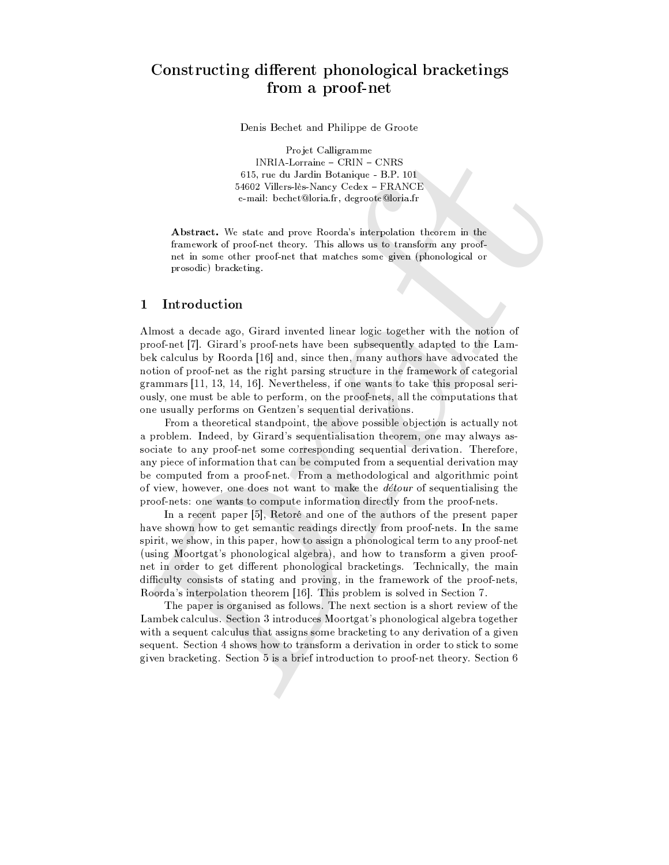# Constructing different phonological bracketings from a proof-net

Denis Bechet and Philippe de Groote

Projet Calligramme  $\textsf{INRIA\text{-}Lorraine} - \textsf{CRIN} - \textsf{CNRS}$ 615, rue du Jardin Botanique - B.P. 101 54602 Villers-lès-Nancy Cedex - FRANCE e-mail: bechet@loria.fr, degroote@loria.fr

Abstract. We state and prove Roorda's interpolation theorem in the framework of proof-net theory. This allows us to transform any proofnet in some other proof-net that matches some given (phonological or prosodic) bracketing.

#### $\mathbf{1}$ Introduction

Almost a decade ago, Girard invented linear logic together with the notion of proof-net [7]. Girard's proof-nets have been subsequently adapted to the Lambek calculus by Roorda [16] and, since then, many authors have advocated the notion of proof-net as the right parsing structure in the framework of categorial grammars [11, 13, 14, 16]. Nevertheless, if one wants to take this proposal seriously, one must be able to perform, on the proof-nets, all the computations that one usually performs on Gentzen's sequential derivations.

From a theoretical standpoint, the above possible objection is actually not a problem. Indeed, by Girard's sequentialisation theorem, one may always associate to any proof-net some corresponding sequential derivation. Therefore, any piece of information that can be computed from a sequential derivation may be computed from a proof-net. From a methodological and algorithmic point of view, however, one does not want to make the *détour* of sequentialising the proof-nets: one wants to compute information directly from the proof-nets.

In a recent paper [5], Retoré and one of the authors of the present paper have shown how to get semantic readings directly from proof-nets. In the same spirit, we show, in this paper, how to assign a phonological term to any proof-net (using Moortgat's phonological algebra), and how to transform a given proofnet in order to get different phonological bracketings. Technically, the main difficulty consists of stating and proving, in the framework of the proof-nets, Roorda's interpolation theorem [16]. This problem is solved in Section 7.

The paper is organised as follows. The next section is a short review of the Lambek calculus. Section 3 introduces Moortgat's phonological algebra together with a sequent calculus that assigns some bracketing to any derivation of a given sequent. Section 4 shows how to transform a derivation in order to stick to some given bracketing. Section 5 is a brief introduction to proof-net theory. Section 6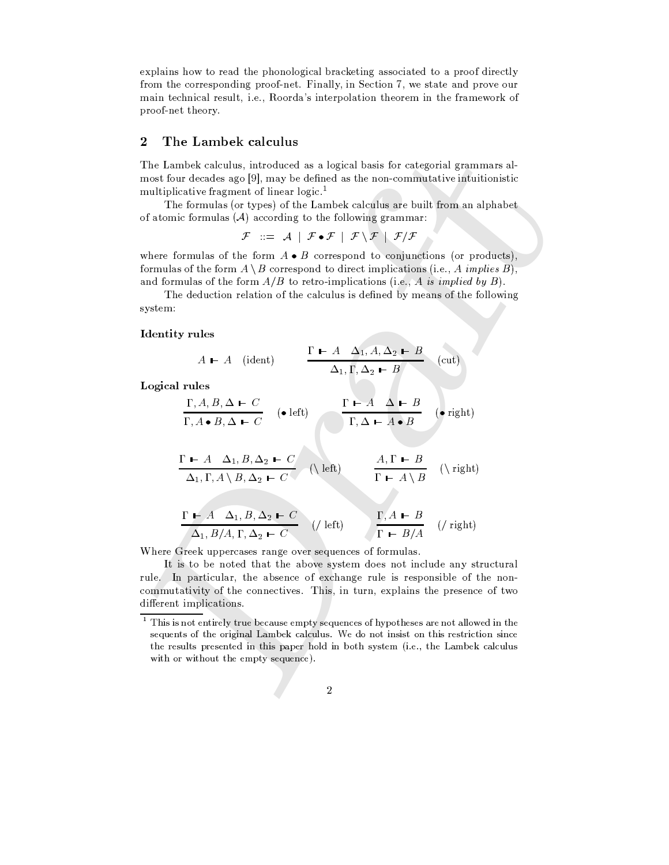explains how to read the phonological bracketing associated to a proof directly from the corresponding proof-net. Finally, in Section 7, we state and prove our main technical result, i.e., Roorda's interpolation theorem in the framework of proof-net theory.

#### $\overline{2}$ The Lambek calculus

The Lambek calculus, introduced as a logical basis for categorial grammars almost four decades ago [9], may be defined as the non-commutative intuition istic multiplicative fragment of linear logic.<sup>1</sup>

The formulas (or types) of the Lambek calculus are built from an alphabet of atomic formulas  $(A)$  according to the following grammar:

 $\mathcal{F} \ ::= \ \mathcal{A} \ | \ \mathcal{F} \bullet \mathcal{F} \ | \ \mathcal{F} \setminus \mathcal{F} \ | \ \mathcal{F}/\mathcal{F}$ 

where formulas of the form  $A \bullet B$  correspond to conjunctions (or products), formulas of the form  $A \setminus B$  correspond to direct implications (i.e., A implies B), and formulas of the form  $A/B$  to retro-implications (i.e., A is implied by B).

The deduction relation of the calculus is defined by means of the following system:

### **Identity rules**

$$
A \mathrel{\mathop{\longleftarrow}} A \quad \text{(ident)} \qquad \frac{\Gamma \mathrel{\mathop{\longleftarrow}} A \quad \Delta_1, A, \Delta_2 \mathrel{\mathop{\longleftarrow}} B}{\Delta_1, \Gamma, \Delta_2 \mathrel{\mathop{\longleftarrow}} B} \quad \text{(cut)}
$$

Logical rules

$$
\frac{\Gamma, A, B, \Delta \vdash C}{\Gamma, A \bullet B, \Delta \vdash C} \quad (\bullet \text{ left}) \qquad \frac{\Gamma \vdash A \quad \Delta \vdash B}{\Gamma, \Delta \vdash A \bullet B} \quad (\bullet \text{ right})
$$

$$
\frac{\Gamma \vdash A \quad \Delta_1, B, \Delta_2 \vdash C}{\Delta_1, \Gamma, A \setminus B, \Delta_2 \vdash C} \quad (\text{left}) \qquad \frac{A, \Gamma \vdash B}{\Gamma \vdash A \setminus B} \quad (\text{right})
$$

$$
\frac{\Gamma - A \Delta_1, B, \Delta_2 - C}{\Delta_1, B/A, \Gamma, \Delta_2 - C}
$$
 (*/* left) 
$$
\frac{\Gamma, A - B}{\Gamma - B/A}
$$
 (*/* right)

Where Greek uppercases range over sequences of formulas.

It is to be noted that the above system does not include any structural rule. In particular, the absence of exchange rule is responsible of the noncommutativity of the connectives. This, in turn, explains the presence of two different implications.

 $1$  This is not entirely true because empty sequences of hypotheses are not allowed in the sequents of the original Lambek calculus. We do not insist on this restriction since the results presented in this paper hold in both system (i.e., the Lambek calculus with or without the empty sequence).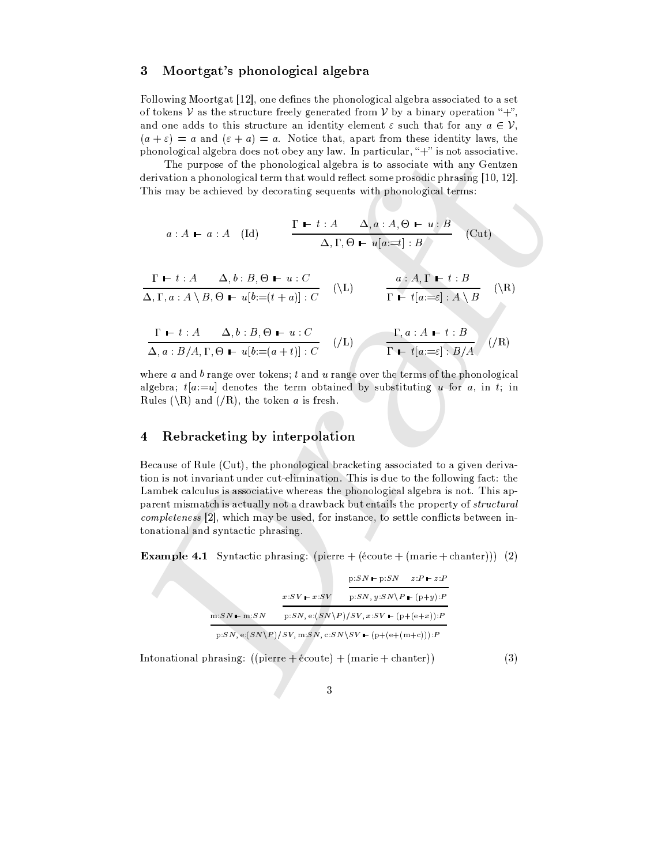#### $\overline{3}$ Moortgat's phonological algebra

Following Moortgat [12], one defines the phonological algebra associated to a set of tokens V as the structure freely generated from V by a binary operation "+". and one adds to this structure an identity element  $\varepsilon$  such that for any  $a \in \mathcal{V}$ ,  $(a + \varepsilon) = a$  and  $(\varepsilon + a) = a$ . Notice that, apart from these identity laws, the phonological algebra does not obey any law. In particular, "+" is not associative.

The purpose of the phonological algebra is to associate with any Gentzen derivation a phonological term that would reflect some prosodic phrasing [10, 12]. This may be achieved by decorating sequents with phonological terms:

$$
a: A \rightharpoonup a: A \quad (\text{Id}) \qquad \frac{\Gamma \rightharpoonup t: A \quad \Delta, a: A, \Theta \rightharpoonup u: B}{\Delta, \Gamma, \Theta \rightharpoonup u[a:=t]: B} \quad (\text{Cut})
$$

$$
\frac{\Gamma \vdash t : A \qquad \Delta, b : B, \Theta \vdash u : C}{\Delta, \Gamma, a : A \setminus B, \Theta \vdash u[b := (t + a)] : C} \qquad (\setminus L) \qquad \frac{a : A, \Gamma \vdash t : B}{\Gamma \vdash t[a := \varepsilon] : A \setminus B} \qquad (\setminus R)
$$

$$
\frac{\Gamma \vdash t : A \qquad \Delta, b : B, \Theta \vdash u : C}{\Delta, a : B/A, \Gamma, \Theta \vdash u[b := (a + t)] : C} \qquad (/L) \qquad \frac{\Gamma, a : A \vdash t : B}{\Gamma \vdash t[a := \varepsilon] : B/A} \qquad (/R)
$$

where  $a$  and  $b$  range over tokens;  $t$  and  $u$  range over the terms of the phonological algebra;  $t[a:=u]$  denotes the term obtained by substituting u for a, in t; in Rules (\R) and (/R), the token a is fresh.

#### Rebracketing by interpolation  $\boldsymbol{4}$

Because of Rule (Cut), the phonological bracketing associated to a given derivation is not invariant under cut-elimination. This is due to the following fact: the Lambek calculus is associative whereas the phonological algebra is not. This apparent mismatch is actually not a drawback but entails the property of *structural completeness* [2], which may be used, for instance, to settle conflicts between intonational and syntactic phrasing.

**Example 4.1** Syntactic phrasing: (pierre  $+$  (écoute  $+$  (marie  $+$  chanter))) (2)

|               |                         | $p:SN \rightarrow p:SN$                                                                | $z:P \longmapsto z:P$ |
|---------------|-------------------------|----------------------------------------------------------------------------------------|-----------------------|
|               | $x:SV \rightarrow x:SV$ | $p:SN, y:SN\$ $P - (p+y):P$                                                            |                       |
| $m:SN - m:SN$ |                         | $p:SN, e: (SN \ P)/SV, x:SV = (p+(e+x)):P$                                             |                       |
|               |                         | $p:SN$ , e: $(SN\backslash P)/SV$ , m: $SN$ , c: $SN\backslash SV$ – $(p+(e+(m+c)))$ : |                       |

Intonational phrasing:  $((\text{pierre} + \text{éoute}) + (\text{marie} + \text{chanter}))$  $(3)$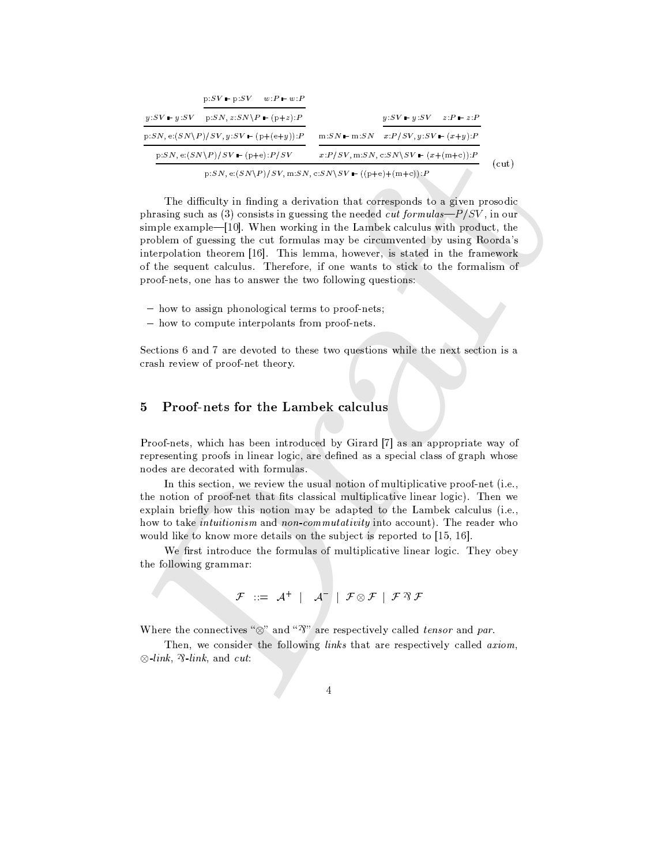|                                     | $p:SV = p:SV = w:P = w:P$                  |                                               |                                                       |                           |       |  |
|-------------------------------------|--------------------------------------------|-----------------------------------------------|-------------------------------------------------------|---------------------------|-------|--|
|                                     | $y:SV = y:SV = p:SN, z:SN \ P = (p+z):P$   |                                               |                                                       | $y:SV = y:SV = z:P = z:P$ |       |  |
|                                     | $p:SN, e:(SN\ P)/SV, y:SV$ – $(p+(e+y)):P$ |                                               | $m:SN = m:SN = x:P/SV, y:SV = (x+y):P$                |                           |       |  |
| $p:SN, e:(SN\ P)/SV$ – $(p+e):P/SV$ |                                            | $x: P/SV, m:SN, c: SN \ SV - (x + (m+c)) : P$ |                                                       |                           | (cut) |  |
|                                     |                                            |                                               | $p:SN, e:(SN\P)/SV, m:SN, c:SN\P/V - ((p+e)+(m+c)):P$ |                           |       |  |

The difficulty in finding a derivation that corresponds to a given prosodic phrasing such as (3) consists in guessing the needed *cut formulas—* $P/SV$ , in our simple example—[10]. When working in the Lambek calculus with product, the problem of guessing the cut formulas may be circumvented by using Roorda's interpolation theorem [16]. This lemma, however, is stated in the framework of the sequent calculus. Therefore, if one wants to stick to the formalism of proof-nets, one has to answer the two following questions:

- how to assign phonological terms to proof-nets;
- how to compute interpolants from proof-nets.

Sections 6 and 7 are devoted to these two questions while the next section is a crash review of proof-net theory.

#### $\overline{5}$ **Proof-nets for the Lambek calculus**

Proof-nets, which has been introduced by Girard [7] as an appropriate way of representing proofs in linear logic, are defined as a special class of graph whose nodes are decorated with formulas.

In this section, we review the usual notion of multiplicative proof-net  $(i.e.,$ the notion of proof-net that fits classical multiplicative linear logic). Then we explain briefly how this notion may be adapted to the Lambek calculus (i.e., how to take *intuitionism* and *non-commutativity* into account). The reader who would like to know more details on the subject is reported to [15, 16].

We first introduce the formulas of multiplicative linear logic. They obey the following grammar:

$$
\mathcal{F} \quad ::= \quad \mathcal{A}^+ \quad | \quad \mathcal{A}^- \quad | \quad \mathcal{F} \otimes \mathcal{F} \quad | \quad \mathcal{F} \otimes \mathcal{F}
$$

Where the connectives " $\otimes$ " and " $\mathfrak{F}$ " are respectively called *tensor* and *par*.

Then, we consider the following links that are respectively called axiom,  $\otimes$ -link,  $\mathcal{R}$ -link, and cut: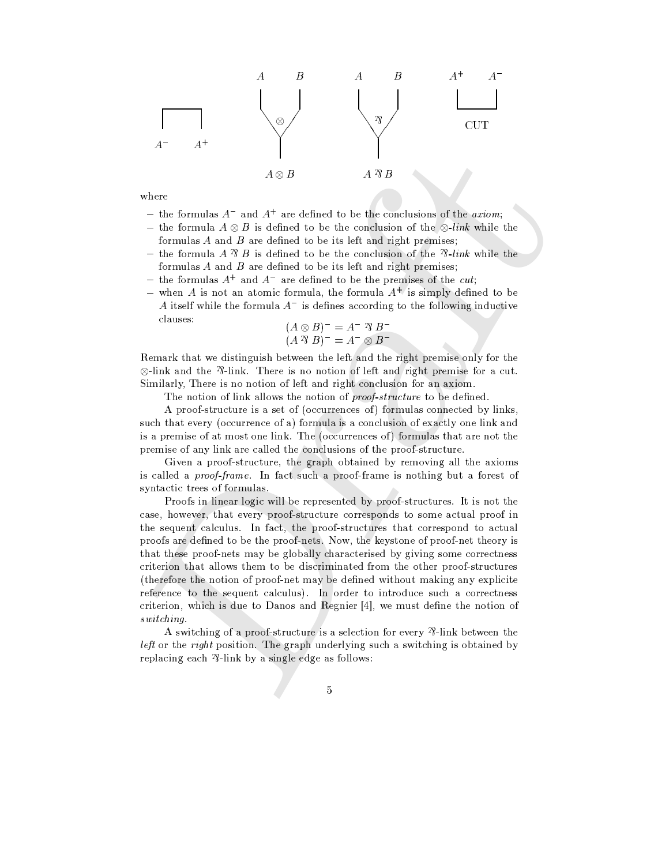

where

- the formulas  $A^-$  and  $A^+$  are defined to be the conclusions of the *axiom*;
- the formula  $A \otimes B$  is defined to be the conclusion of the  $\otimes$ -link while the formulas  $A$  and  $B$  are defined to be its left and right premises;
- the formula A  $\mathcal{R}$  B is defined to be the conclusion of the  $\mathcal{R}$ -link while the formulas  $A$  and  $B$  are defined to be its left and right premises;
- the formulas  $A^+$  and  $A^-$  are defined to be the premises of the *cut*;
- when A is not an atomic formula, the formula  $A^+$  is simply defined to be A itself while the formula  $A^-$  is defines according to the following inductive clauses:

$$
(A \otimes B)^{-} = A^{-} \mathfrak{B} B^{-}
$$

$$
(A \mathfrak{B} B)^{-} = A^{-} \otimes B^{-}
$$

Remark that we distinguish between the left and the right premise only for the  $\otimes$ -link and the  $\mathcal{D}$ -link. There is no notion of left and right premise for a cut. Similarly, There is no notion of left and right conclusion for an axiom.

The notion of link allows the notion of *proof-structure* to be defined.

A proof-structure is a set of (occurrences of) formulas connected by links, such that every (occurrence of a) formula is a conclusion of exactly one link and is a premise of at most one link. The (occurrences of) formulas that are not the premise of any link are called the conclusions of the proof-structure.

Given a proof-structure, the graph obtained by removing all the axioms is called a *proof-frame*. In fact such a proof-frame is nothing but a forest of syntactic trees of formulas.

Proofs in linear logic will be represented by proof-structures. It is not the case, however, that every proof-structure corresponds to some actual proof in the sequent calculus. In fact, the proof-structures that correspond to actual proofs are defined to be the proof-nets. Now, the keystone of proof-net theory is that these proof-nets may be globally characterised by giving some correctness criterion that allows them to be discriminated from the other proof-structures (therefore the notion of proof-net may be defined without making any explicite reference to the sequent calculus). In order to introduce such a correctness criterion, which is due to Danos and Regnier  $[4]$ , we must define the notion of switching.

A switching of a proof-structure is a selection for every  $\mathcal{P}$ -link between the *left* or the *right* position. The graph underlying such a switching is obtained by replacing each  $\mathcal{B}$ -link by a single edge as follows:

 $\overline{5}$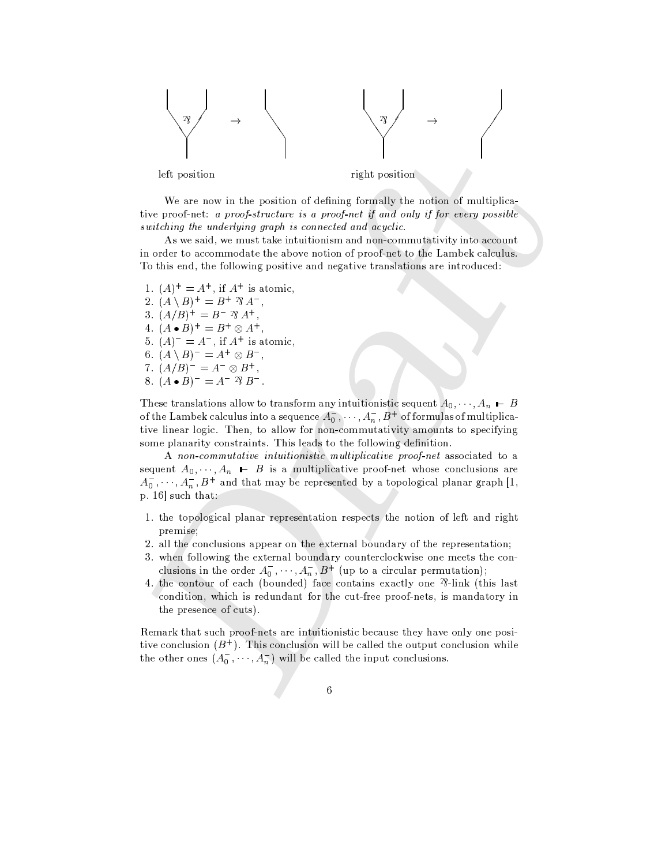

We are now in the position of defining formally the notion of multiplicative proof-net: a proof-structure is a proof-net if and only if for every possible switching the underlying graph is connected and acyclic.

As we said, we must take intuitionism and non-commutativity into account in order to accommodate the above notion of proof-net to the Lambek calculus. To this end, the following positive and negative translations are introduced:

1.  $(A)^{+} = A^{+}$ , if  $A^{+}$  is atomic, 2.  $(A \setminus B)^+ = B^+ \mathcal{R} A^-$ , 3.  $(A/B)^{+} = B^{-} \mathfrak{B} A^{+}$ , 4.  $(A \bullet B)^{+} = B^{+} \otimes A^{+}$ 5.  $(A)^{-} = A^{-}$ , if  $A^{+}$  is atomic, 6.  $(A \setminus B)^- = A^+ \otimes B^-$ , 7.  $(A/B)^{-} = A^{-} \otimes B^{+}$ , 8.  $(A \bullet B)^{-} = A^{-} \mathfrak{B} B^{-}$ .

These translations allow to transform any intuitionistic sequent  $A_0, \dots, A_n \vdash B$ of the Lambek calculus into a sequence  $A_0^{\bullet}, \cdots, A_n^{\bullet}, B^+$  of formulas of multiplicative linear logic. Then, to allow for non-commutativity amounts to specifying some planarity constraints. This leads to the following definition.

A non-commutative intuitionistic multiplicative proof-net associated to a sequent  $A_0, \dots, A_n$   $\vdash$  B is a multiplicative proof-net whose conclusions are  $A_0^-, \dots, A_n^-, B^+$  and that may be represented by a topological planar graph [1,  $p. 16$ ] such that:

- 1. the topological planar representation respects the notion of left and right premise:
- 2. all the conclusions appear on the external boundary of the representation;
- 3. when following the external boundary counterclockwise one meets the conclusions in the order  $A_0^-, \dots, A_n^-, B^+$  (up to a circular permutation);
- 4. the contour of each (bounded) face contains exactly one  $\frac{1}{3}$ -link (this last condition, which is redundant for the cut-free proof-nets, is mandatory in the presence of cuts).

Remark that such proof-nets are intuitionistic because they have only one positive conclusion  $(B^+)$ . This conclusion will be called the output conclusion while the other ones  $(A_0^-, \dots, A_n^+)$  will be called the input conclusions.

 $\ddot{6}$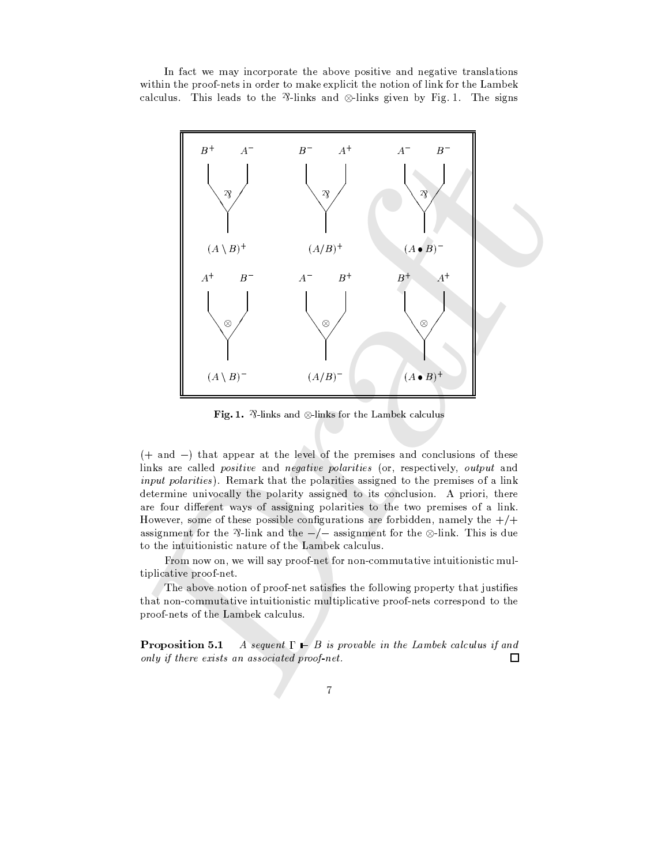In fact we may incorporate the above positive and negative translations within the proof-nets in order to make explicit the notion of link for the Lambek calculus. This leads to the  $\frac{1}{2}$ -links and  $\otimes$ -links given by Fig. 1. The signs



Fig. 1.  $\sqrt[3]{2}$ -links and  $\otimes$ -links for the Lambek calculus

 $(+$  and  $-)$  that appear at the level of the premises and conclusions of these links are called positive and negative polarities (or, respectively, output and *input polarities*). Remark that the polarities assigned to the premises of a link determine univocally the polarity assigned to its conclusion. A priori, there are four different ways of assigning polarities to the two premises of a link. However, some of these possible configurations are forbidden, namely the  $+/+$ assignment for the  $\frac{3}{1}$ -link and the  $-\frac{1}{3}$  assignment for the  $\otimes$ -link. This is due to the intuitionistic nature of the Lambek calculus.

From now on, we will say proof-net for non-commutative intuitionistic multiplicative proof-net.

The above notion of proof-net satisfies the following property that justifies that non-commutative intuitionistic multiplicative proof-nets correspond to the proof-nets of the Lambek calculus.

Proposition 5.1 A sequent  $\Gamma \vdash B$  is provable in the Lambek calculus if and only if there exists an associated proof net.  $\Box$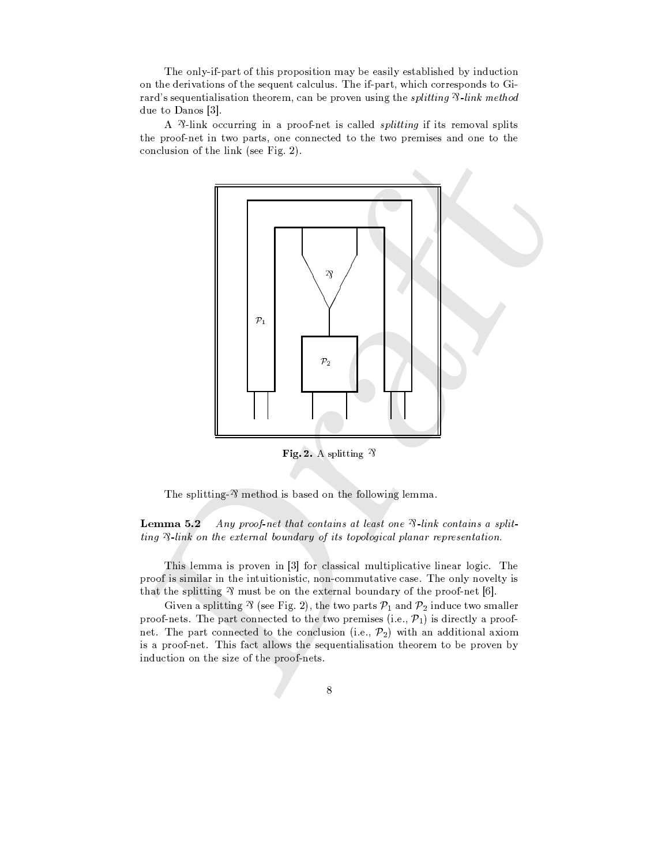The only-if-part of this proposition may be easily established by induction on the derivations of the sequent calculus. The if-part, which corresponds to Girard's sequentialisation theorem, can be proven using the splitting  $\mathcal{P}\text{-link method}$ due to Danos [3].

A <sup>2</sup>/<sub>2</sub>-link occurring in a proof-net is called *splitting* if its removal splits the proof-net in two parts, one connected to the two premises and one to the conclusion of the link (see Fig. 2).



Fig. 2. A splitting  $\gamma$ 

The splitting- $\gamma$  method is based on the following lemma.

Lemma 5.2 Any proof-net that contains at least one  $\mathcal{R}$ -link contains a splitting  $\mathcal{R}$ -link on the external boundary of its topological planar representation.

This lemma is proven in [3] for classical multiplicative linear logic. The proof is similar in the intuitionistic, non-commutative case. The only novelty is that the splitting  $\frac{3}{2}$  must be on the external boundary of the proof-net [6].

Given a splitting  $\mathcal{B}$  (see Fig. 2), the two parts  $\mathcal{P}_1$  and  $\mathcal{P}_2$  induce two smaller proof-nets. The part connected to the two premises (i.e.,  $\mathcal{P}_1$ ) is directly a proofnet. The part connected to the conclusion (i.e.,  $\mathcal{P}_2$ ) with an additional axiom is a proof-net. This fact allows the sequentialisation theorem to be proven by induction on the size of the proof-nets.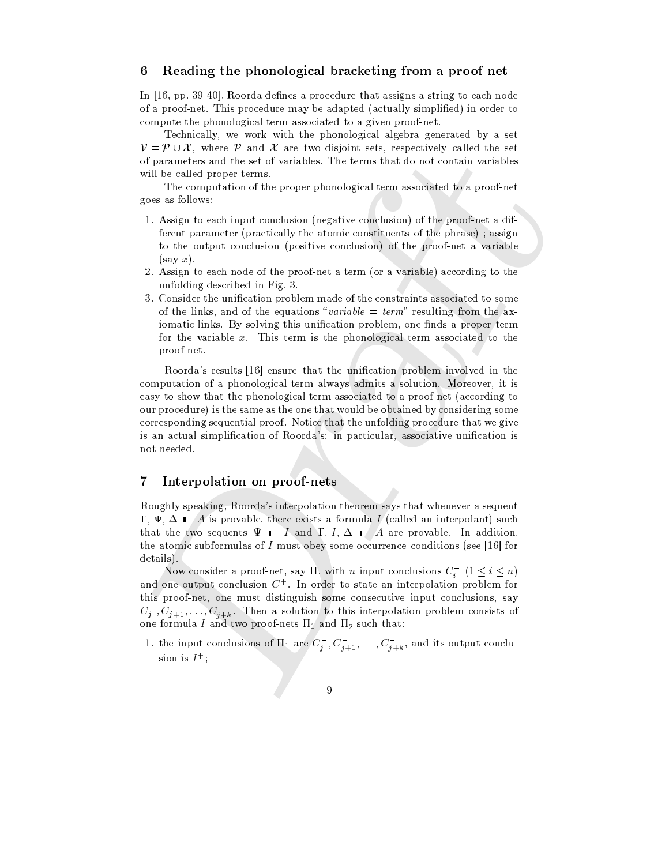#### 6 Reading the phonological bracketing from a proof-net

In [16, pp. 39-40], Roorda defines a procedure that assigns a string to each node of a proof-net. This procedure may be adapted (actually simplified) in order to compute the phonological term associated to a given proof-net.

Technically, we work with the phonological algebra generated by a set  $V = \mathcal{P} \cup \mathcal{X}$ , where  $\mathcal{P}$  and  $\mathcal{X}$  are two disjoint sets, respectively called the set of parameters and the set of variables. The terms that do not contain variables will be called proper terms.

The computation of the proper phonological term associated to a proof-net goes as follows:

- 1. Assign to each input conclusion (negative conclusion) of the proof-net a different parameter (practically the atomic constituents of the phrase); assign to the output conclusion (positive conclusion) of the proof-net a variable  $(say\ x).$
- 2. Assign to each node of the proof-net a term (or a variable) according to the unfolding described in Fig. 3.
- 3. Consider the unification problem made of the constraints associated to some of the links, and of the equations "variable = term" resulting from the axiomatic links. By solving this unification problem, one finds a proper term for the variable  $x$ . This term is the phonological term associated to the proof-net.

Roorda's results [16] ensure that the unification problem involved in the computation of a phonological term always admits a solution. Moreover, it is easy to show that the phonological term associated to a proof-net (according to our procedure) is the same as the one that would be obtained by considering some corresponding sequential proof. Notice that the unfolding procedure that we give is an actual simplification of Roorda's: in particular, associative unification is not needed.

#### Interpolation on proof-nets 7

Roughly speaking, Roorda's interpolation theorem says that whenever a sequent  $\Gamma$ ,  $\Psi$ ,  $\Delta \vdash A$  is provable, there exists a formula I (called an interpolant) such that the two sequents  $\Psi$  – I and  $\Gamma$ ,  $I$ ,  $\Delta$  – A are provable. In addition, the atomic subformulas of  $I$  must obey some occurrence conditions (see [16] for details).

Now consider a proof-net, say  $\Pi$ , with *n* input conclusions  $C_i^-(1 \lt i \lt n)$ and one output conclusion  $C^+$ . In order to state an interpolation problem for this proof-net, one must distinguish some consecutive input conclusions, say  $C_j^-, C_{j+1}^-, \ldots, C_{j+k}^-.$  Then a solution to this interpolation problem consists of one formula I and two proof-nets  $\Pi_1$  and  $\Pi_2$  such that:

1. the input conclusions of  $\Pi_1$  are  $C_j^-$ ,  $C_{j+1}^-$ , ...,  $C_{j+k}^-$ , and its output conclusion is  $I^+$ ;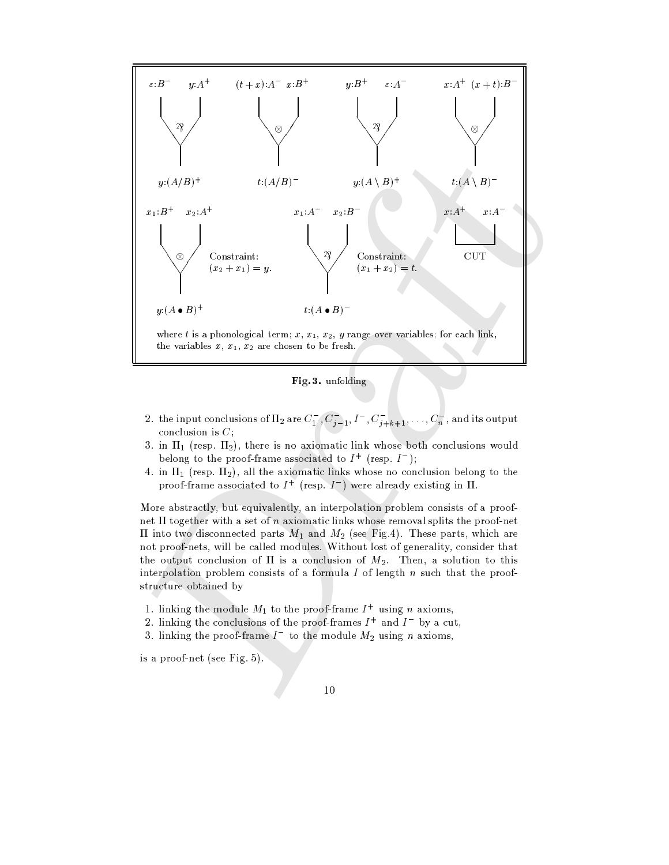

Fig. 3. unfolding

- 2. the input conclusions of  $\Pi_2$  are  $C_1^-, C_{j-1}^-, I^-, C_{j+k+1}^-, \ldots, C_n^-,$  and its output conclusion is  $C$ ;
- 3. in  $\Pi_1$  (resp.  $\Pi_2$ ), there is no axiomatic link whose both conclusions would belong to the proof-frame associated to  $I^+$  (resp.  $I^-$ );
- 4. in  $\Pi_1$  (resp.  $\Pi_2$ ), all the axiomatic links whose no conclusion belong to the proof-frame associated to  $I^+$  (resp.  $I^-$ ) were already existing in  $\Pi$ .

More abstractly, but equivalently, an interpolation problem consists of a proofnet  $\Pi$  together with a set of *n* axiomatic links whose removal splits the proof-net  $\Pi$  into two disconnected parts  $M_1$  and  $M_2$  (see Fig.4). These parts, which are not proof-nets, will be called modules. Without lost of generality, consider that the output conclusion of  $\Pi$  is a conclusion of  $M_2$ . Then, a solution to this interpolation problem consists of a formula  $I$  of length  $n$  such that the proofstructure obtained by

- 1. linking the module  $M_1$  to the proof-frame  $I^+$  using n axioms,
- 2. linking the conclusions of the proof-frames  $I^+$  and  $I^-$  by a cut,
- 3. linking the proof-frame  $I^-$  to the module  $M_2$  using n axioms,

is a proof-net (see Fig. 5).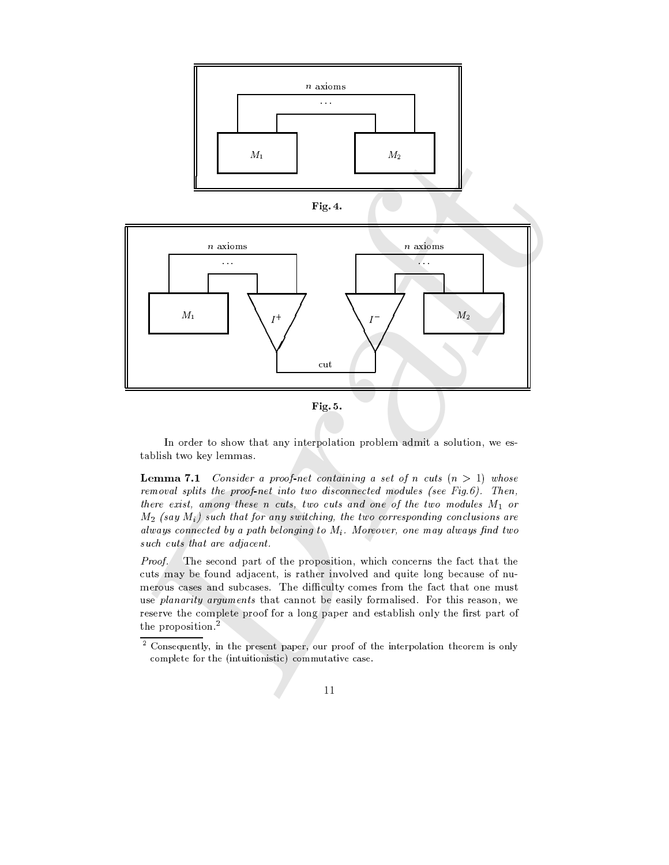

In order to show that any interpolation problem admit a solution, we establish two key lemmas.

**Lemma 7.1** Consider a proof-net containing a set of n cuts  $(n > 1)$  whose removal splits the proof-net into two disconnected modules (see Fig.6). Then, there exist, among these n cuts, two cuts and one of the two modules  $M_1$  or  $M_2$  (say  $M_i$ ) such that for any switching, the two corresponding conclusions are always connected by a path belonging to  $M_i$ . Moreover, one may always find two such cuts that are adjacent.

Proof. The second part of the proposition, which concerns the fact that the cuts may be found adjacent, is rather involved and quite long because of numerous cases and subcases. The difficulty comes from the fact that one must use planarity arguments that cannot be easily formalised. For this reason, we reserve the complete proof for a long paper and establish only the first part of the proposition.<sup>2</sup>

 $\,2$ Consequently, in the present paper, our proof of the interpolation theorem is only complete for the (intuitionistic) commutative case.

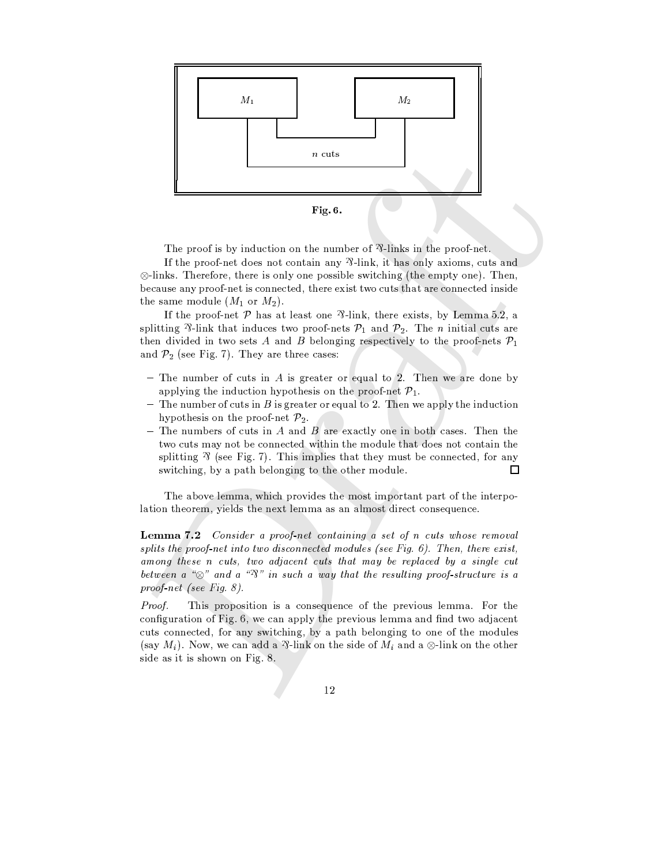

The proof is by induction on the number of  $\mathcal{R}$ -links in the proof-net.

If the proof-net does not contain any  $\frac{3}{1}$  link, it has only axioms, cuts and  $\otimes$ -links. Therefore, there is only one possible switching (the empty one). Then, because any proof-net is connected, there exist two cuts that are connected inside the same module  $(M_1 \text{ or } M_2)$ .

If the proof-net  $P$  has at least one  $\frac{p}{1}$ -link, there exists, by Lemma 5.2, a splitting  $\mathcal{P}_1$ -link that induces two proof-nets  $\mathcal{P}_1$  and  $\mathcal{P}_2$ . The *n* initial cuts are then divided in two sets A and B belonging respectively to the proof-nets  $\mathcal{P}_1$ and  $\mathcal{P}_2$  (see Fig. 7). They are three cases:

- The number of cuts in  $A$  is greater or equal to 2. Then we are done by applying the induction hypothesis on the proof-net  $\mathcal{P}_1$ .
- The number of cuts in B is greater or equal to 2. Then we apply the induction hypothesis on the proof-net  $\mathcal{P}_2$ .
- The numbers of cuts in A and B are exactly one in both cases. Then the two cuts may not be connected within the module that does not contain the splitting  $\frac{y}{x}$  (see Fig. 7). This implies that they must be connected, for any switching, by a path belonging to the other module.  $\Box$

The above lemma, which provides the most important part of the interpolation theorem, yields the next lemma as an almost direct consequence.

**Lemma 7.2** Consider a proof-net containing a set of n cuts whose removal splits the proof-net into two disconnected modules (see Fig.  $6$ ). Then, there exist, among these n cuts, two adjacent cuts that may be replaced by a single cut between a " $\otimes$ " and a " $\mathcal{R}$ " in such a way that the resulting proof-structure is a proof-net (see Fig.  $8$ ).

Proof. This proposition is a consequence of the previous lemma. For the configuration of Fig. 6, we can apply the previous lemma and find two adjacent cuts connected, for any switching, by a path belonging to one of the modules (say  $M_i$ ). Now, we can add a  $\mathcal{R}$ -link on the side of  $M_i$  and a  $\otimes$ -link on the other side as it is shown on Fig. 8.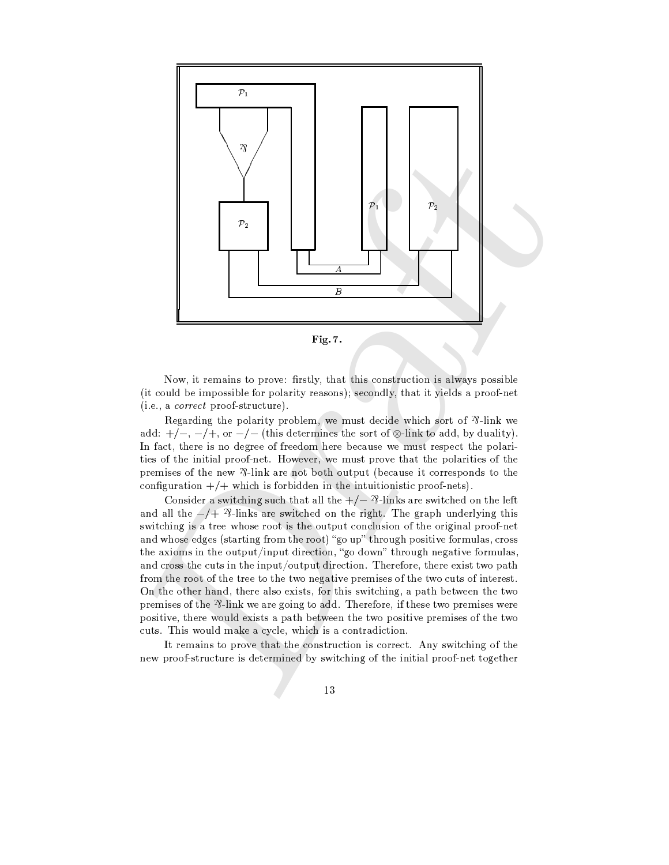



Now, it remains to prove: firstly, that this construction is always possible (it could be impossible for polarity reasons); secondly, that it yields a proof-net  $(i.e., a correct proof-structure).$ 

Regarding the polarity problem, we must decide which sort of  $\mathcal{P}$ -link we add:  $+/-$ ,  $-/+$ , or  $-/-$  (this determines the sort of  $\otimes$ -link to add, by duality). In fact, there is no degree of freedom here because we must respect the polarities of the initial proof-net. However, we must prove that the polarities of the premises of the new  $\frac{2}{1}$ -link are not both output (because it corresponds to the configuration  $+/+$  which is forbidden in the intuitionistic proof-nets).

Consider a switching such that all the  $+/ \frac{1}{2}$ -links are switched on the left and all the  $-\sqrt{2}$ -links are switched on the right. The graph underlying this switching is a tree whose root is the output conclusion of the original proof-net and whose edges (starting from the root) "go up" through positive formulas, cross the axioms in the output/input direction, "go down" through negative formulas, and cross the cuts in the input/output direction. Therefore, there exist two path from the root of the tree to the two negative premises of the two cuts of interest. On the other hand, there also exists, for this switching, a path between the two premises of the  $\frac{1}{2}$ -link we are going to add. Therefore, if these two premises were positive, there would exists a path between the two positive premises of the two cuts. This would make a cycle, which is a contradiction.

It remains to prove that the construction is correct. Any switching of the new proof-structure is determined by switching of the initial proof-net together

 $1\sqrt{3}$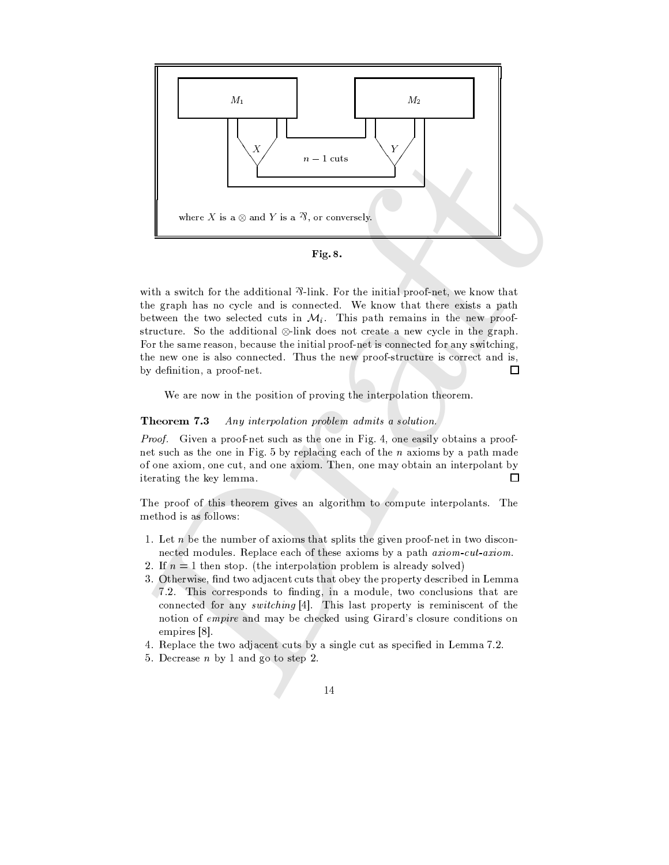

with a switch for the additional  $\frac{3}{1}$ -link. For the initial proof-net, we know that the graph has no cycle and is connected. We know that there exists a path between the two selected cuts in  $\mathcal{M}_i$ . This path remains in the new proofstructure. So the additional  $\otimes$ -link does not create a new cycle in the graph. For the same reason, because the initial proof-net is connected for any switching, the new one is also connected. Thus the new proof-structure is correct and is, by definition, a proof-net. □

We are now in the position of proving the interpolation theorem.

#### Theorem 7.3 Any interpolation problem admits a solution.

Proof. Given a proof-net such as the one in Fig. 4, one easily obtains a proofnet such as the one in Fig. 5 by replacing each of the  $n$  axioms by a path made of one axiom, one cut, and one axiom. Then, one may obtain an interpolant by iterating the key lemma.  $\Box$ 

The proof of this theorem gives an algorithm to compute interpolants. The method is as follows:

- 1. Let  $n$  be the number of axioms that splits the given proof-net in two disconnected modules. Replace each of these axioms by a path axiom-cut-axiom.
- 2. If  $n = 1$  then stop. (the interpolation problem is already solved)
- 3. Otherwise, find two adjacent cuts that obey the property described in Lemma 7.2. This corresponds to finding, in a module, two conclusions that are connected for any *switching* [4]. This last property is reminiscent of the notion of empire and may be checked using Girard's closure conditions on empires [8].
- 4. Replace the two adjacent cuts by a single cut as specified in Lemma 7.2.
- 5. Decrease  $n$  by 1 and go to step 2.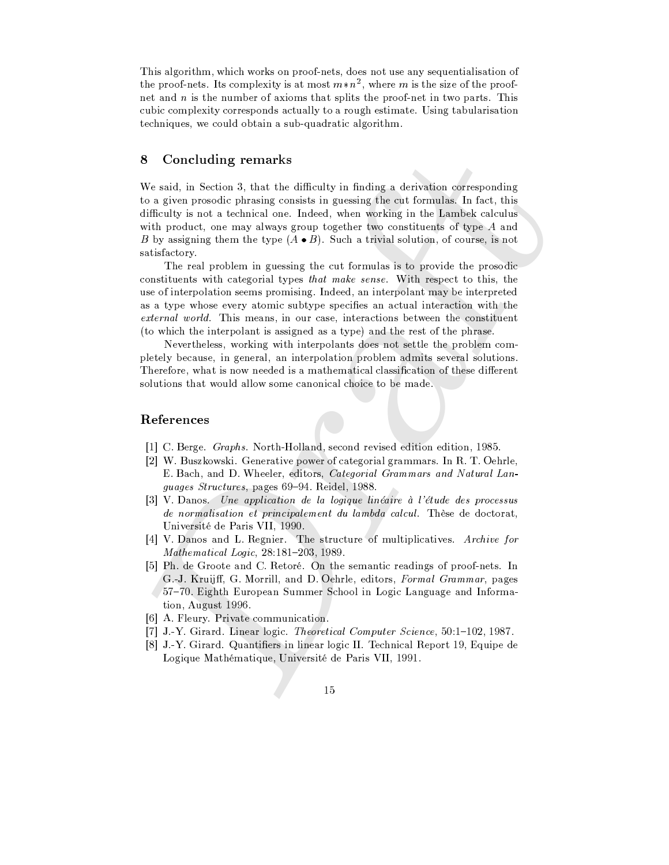This algorithm, which works on proof-nets, does not use any sequentialisation of the proof-nets. Its complexity is at most  $m*n^2$ , where m is the size of the proofnet and n is the number of axioms that splits the proof-net in two parts. This cubic complexity corresponds actually to a rough estimate. Using tabularisation techniques, we could obtain a sub-quadratic algorithm.

#### 8 Concluding remarks

We said, in Section 3, that the difficulty in finding a derivation corresponding to a given prosodic phrasing consists in guessing the cut formulas. In fact, this difficulty is not a technical one. Indeed, when working in the Lambek calculus with product, one may always group together two constituents of type  $A$  and B by assigning them the type  $(A \bullet B)$ . Such a trivial solution, of course, is not satisfactory.

The real problem in guessing the cut formulas is to provide the prosodic constituents with categorial types *that make sense*. With respect to this, the use of interpolation seems promising. Indeed, an interpolant may be interpreted as a type whose every atomic subtype specifies an actual interaction with the external world. This means, in our case, interactions between the constituent (to which the interpolant is assigned as a type) and the rest of the phrase.

Nevertheless, working with interpolants does not settle the problem completely because, in general, an interpolation problem admits several solutions. Therefore, what is now needed is a mathematical classification of these different solutions that would allow some canonical choice to be made.

## References

- [1] C. Berge. *Graphs.* North-Holland, second revised edition edition, 1985.
- [2] W. Buszkowski. Generative power of categorial grammars. In R. T. Oehrle, E. Bach, and D. Wheeler, editors, Categorial Grammars and Natural Languages Structures, pages 69-94. Reidel, 1988.
- [3] V. Danos. Une application de la logique linéaire à l'étude des processus de normalisation et principalement du lambda calcul. Thèse de doctorat, Université de Paris VII, 1990.
- [4] V. Danos and L. Regnier. The structure of multiplicatives. Archive for Mathematical Logic, 28:181-203, 1989.
- [5] Ph. de Groote and C. Retoré. On the semantic readings of proof-nets. In G.J. Kruijff, G. Morrill, and D. Oehrle, editors, Formal Grammar, pages 57-70. Eighth European Summer School in Logic Language and Information, August 1996.
- [6] A. Fleury. Private communication.
- [7] J.-Y. Girard. Linear logic. Theoretical Computer Science, 50:1-102, 1987.
- [8] J.-Y. Girard. Quantifiers in linear logic II. Technical Report 19, Equipe de Logique Mathématique, Université de Paris VII, 1991.
	- 15